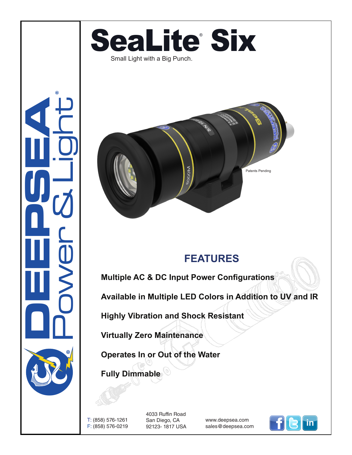

## **DEEPSEA** Power & Light ®



## **FEATURES**

**Multiple AC & DC Input Power Configurations**

**Available in Multiple LED Colors in Addition to UV and IR**

**Highly Vibration and Shock Resistant**

**Virtually Zero Maintenance** 

**Operates In or Out of the Water**

**Fully Dimmable**

T: (858) 576-1261 F: (858) 576-0219

4033 Ruffin Road San Diego, CA 92123- 1817 USA

www.deepsea.com sales@deepsea.com